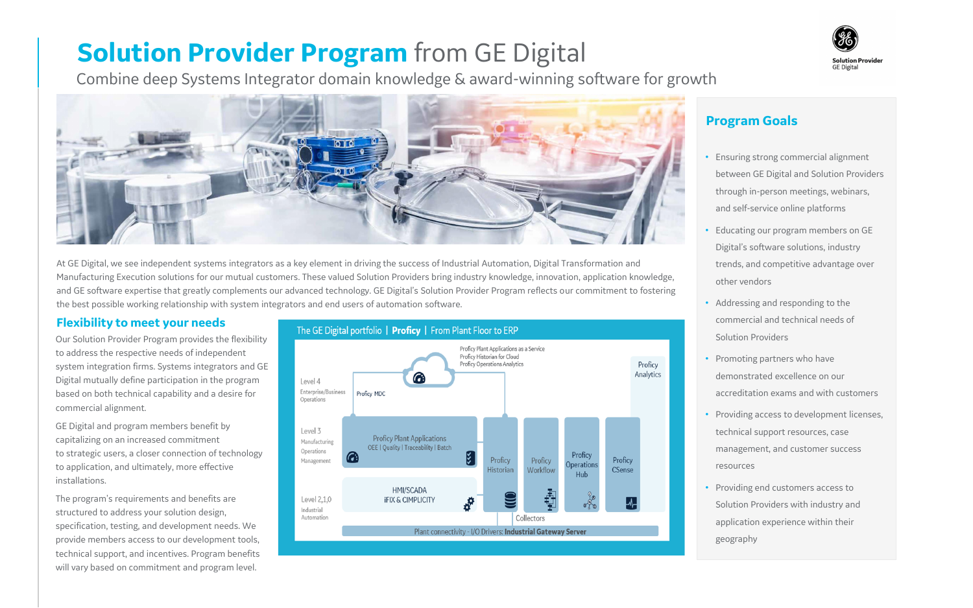# **Solution Provider Program** from GE Digital

Combine deep Systems Integrator domain knowledge & award-winning software for growth



At GE Digital, we see independent systems integrators as a key element in driving the success of Industrial Automation, Digital Transformation and Manufacturing Execution solutions for our mutual customers. These valued Solution Providers bring industry knowledge, innovation, application knowledge, and GE software expertise that greatly complements our advanced technology. GE Digital's Solution Provider Program reflects our commitment to fostering the best possible working relationship with system integrators and end users of automation software.

Our Solution Provider Program provides the flexibility to address the respective needs of independent system integration firms. Systems integrators and GE Digital mutually define participation in the program based on both technical capability and a desire for commercial alignment.

GE Digital and program members benefit by capitalizing on an increased commitment to strategic users, a closer connection of technology to application, and ultimately, more effective installations.

The program's requirements and benefits are structured to address your solution design, specification, testing, and development needs. We provide members access to our development tools, technical support, and incentives. Program benefits will vary based on commitment and program level.





### **Program Goals**

- Ensuring strong commercial alignment between GE Digital and Solution Providers through in-person meetings, webinars, and self-service online platforms
- Educating our program members on GE Digital's software solutions, industry trends, and competitive advantage over other vendors
- Addressing and responding to the commercial and technical needs of Solution Providers
- Promoting partners who have demonstrated excellence on our accreditation exams and with customers
- Providing access to development licenses, technical support resources, case management, and customer success resources
- Providing end customers access to Solution Providers with industry and application experience within their geography

#### **Flexibility to meet your needs**